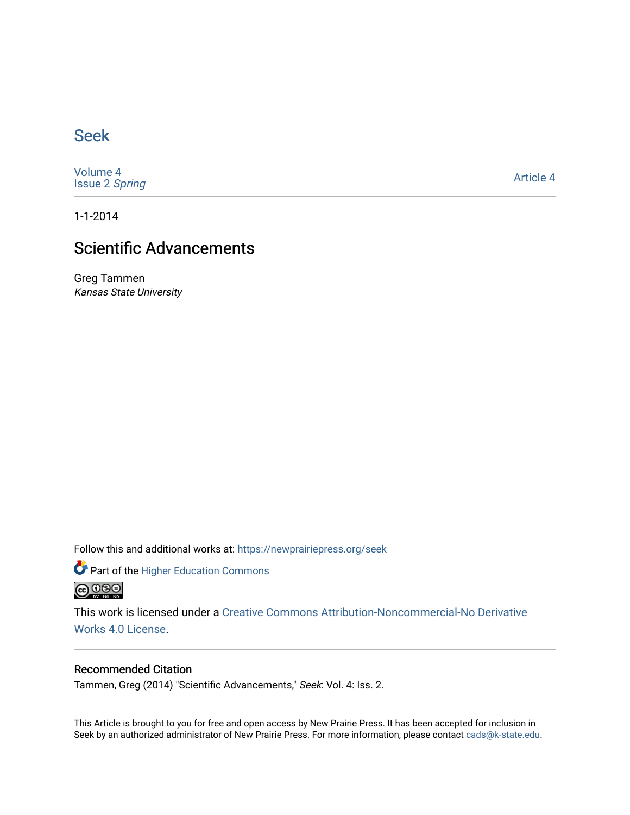## [Seek](https://newprairiepress.org/seek)

[Volume 4](https://newprairiepress.org/seek/vol4) [Issue 2](https://newprairiepress.org/seek/vol4/iss2) Spring

[Article 4](https://newprairiepress.org/seek/vol4/iss2/4) 

1-1-2014

# Scientific Advancements

Greg Tammen Kansas State University

Follow this and additional works at: [https://newprairiepress.org/seek](https://newprairiepress.org/seek?utm_source=newprairiepress.org%2Fseek%2Fvol4%2Fiss2%2F4&utm_medium=PDF&utm_campaign=PDFCoverPages)

Part of the [Higher Education Commons](http://network.bepress.com/hgg/discipline/1245?utm_source=newprairiepress.org%2Fseek%2Fvol4%2Fiss2%2F4&utm_medium=PDF&utm_campaign=PDFCoverPages) 



This work is licensed under a [Creative Commons Attribution-Noncommercial-No Derivative](https://creativecommons.org/licenses/by-nc-nd/4.0/)  [Works 4.0 License](https://creativecommons.org/licenses/by-nc-nd/4.0/).

#### Recommended Citation

Tammen, Greg (2014) "Scientific Advancements," Seek: Vol. 4: Iss. 2.

This Article is brought to you for free and open access by New Prairie Press. It has been accepted for inclusion in Seek by an authorized administrator of New Prairie Press. For more information, please contact [cads@k-state.edu](mailto:cads@k-state.edu).